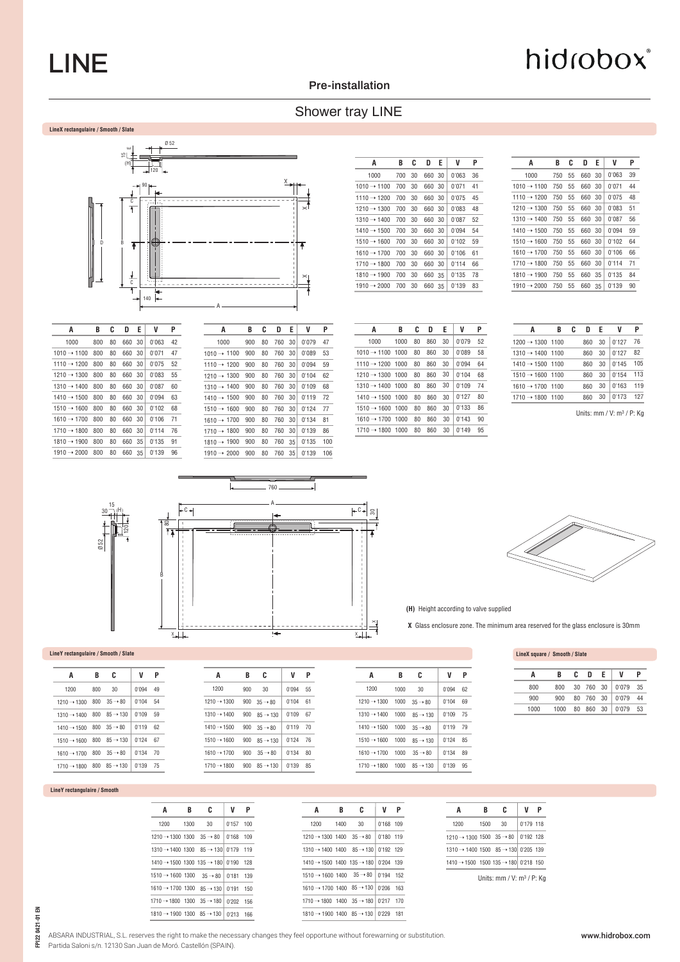## LINE

#### **Pre-installation**

## Shower tray LINE



| A                       | B   | C  | D      | Е  | V     | Ρ  |
|-------------------------|-----|----|--------|----|-------|----|
| 1000                    | 800 | 80 | 660 30 |    | 0'063 | 42 |
| $1010 \rightarrow 1100$ | 800 | 80 | 660 30 |    | 0'071 | 47 |
| 1110 → 1200             | 800 | 80 | 660 30 |    | 0'075 | 52 |
| $1210 \rightarrow 1300$ | 800 | 80 | 660 30 |    | 0'083 | 55 |
| $1310 \rightarrow 1400$ | 800 | 80 | 660 30 |    | 0'087 | 60 |
| $1410 \rightarrow 1500$ | 800 | 80 | 660 30 |    | 0'094 | 63 |
| $1510 \rightarrow 1600$ | 800 | 80 | 660 30 |    | 0'102 | 68 |
| $1610 \rightarrow 1700$ | 800 | 80 | 660 30 |    | 0'106 | 71 |
| $1710 \rightarrow 1800$ | 800 | 80 | 660    | 30 | 0'114 | 76 |
| $1810 \rightarrow 1900$ | 800 | 80 | 660    | 35 | 0'135 | 91 |
| $1910 \rightarrow 2000$ | 800 | 80 | 660    | 35 | 0'139 | 96 |

| A                       | B   | C  | D   | Е  | V     | P   |
|-------------------------|-----|----|-----|----|-------|-----|
| 1000                    | 900 | 80 | 760 | 30 | 0'079 | 47  |
| $1010 \rightarrow 1100$ | 900 | 80 | 760 | 30 | 0'089 | 53  |
| 1110 $\rightarrow$ 1200 | 900 | 80 | 760 | 30 | 0'094 | 59  |
| $1210 \rightarrow 1300$ | 900 | 80 | 760 | 30 | 0'104 | 62  |
| $1310 \rightarrow 1400$ | 900 | 80 | 760 | 30 | 0'109 | 68  |
| $1410 \rightarrow 1500$ | 900 | 80 | 760 | 30 | 0'119 | 72  |
| $1510 \rightarrow 1600$ | 900 | 80 | 760 | 30 | 0'124 | 77  |
| $1610 \rightarrow 1700$ | 900 | 80 | 760 | 30 | 0'134 | 81  |
| $1710 \rightarrow 1800$ | 900 | 80 | 760 | 30 | 0'139 | 86  |
| $1810 \rightarrow 1900$ | 900 | 80 | 760 | 35 | 0'135 | 100 |
| 1910 $\rightarrow$ 2000 | 900 | 80 | 760 | 35 | 0'139 | 106 |

| A                       | B   | C  | D      | Е | V     | P  |
|-------------------------|-----|----|--------|---|-------|----|
| 1000                    | 700 | 30 | 660 30 |   | 0'063 | 36 |
| $1010 \rightarrow 1100$ | 700 | 30 | 660 30 |   | 0'071 | 41 |
| $1110 \rightarrow 1200$ | 700 | 30 | 660 30 |   | 0'075 | 45 |
| $1210 \rightarrow 1300$ | 700 | 30 | 660 30 |   | 0'083 | 48 |
| $1310 \rightarrow 1400$ | 700 | 30 | 660 30 |   | 0'087 | 52 |
| $1410 \rightarrow 1500$ | 700 | 30 | 660 30 |   | 0'094 | 54 |
| $1510 \rightarrow 1600$ | 700 | 30 | 660 30 |   | 0'102 | 59 |
| $1610 \rightarrow 1700$ | 700 | 30 | 660 30 |   | 0'106 | 61 |
| $1710 \rightarrow 1800$ | 700 | 30 | 660 30 |   | 0'114 | 66 |
| $1810 \rightarrow 1900$ | 700 | 30 | 660 35 |   | 0'135 | 78 |
| $1910 \rightarrow 2000$ | 700 | 30 | 660 35 |   | 0'139 | 83 |
|                         |     |    |        |   |       |    |

| A                            | R    | c  | D   | Е  | V     | P  |
|------------------------------|------|----|-----|----|-------|----|
| 1000                         | 1000 | 80 | 860 | 30 | 0'079 | 52 |
| $1010 \rightarrow 1100$ 1000 |      | 80 | 860 | 30 | 0'089 | 58 |
| $1110 \rightarrow 1200$ 1000 |      | 80 | 860 | 30 | 0'094 | 64 |
| $1210 \rightarrow 1300$ 1000 |      | 80 | 860 | 30 | 0'104 | 68 |
| $1310 \rightarrow 1400$ 1000 |      | 80 | 860 | 30 | 0'109 | 74 |
| $1410 \rightarrow 1500$ 1000 |      | 80 | 860 | 30 | 0'127 | 80 |
| $1510 \rightarrow 1600$ 1000 |      | 80 | 860 | 30 | 0'133 | 86 |
| $1610 \rightarrow 1700$ 1000 |      | 80 | 860 | 30 | 0'143 | 90 |
| $1710 \rightarrow 1800$ 1000 |      | 80 | 860 | 30 | 0'149 | 95 |

| A                       | B   | C.  | D      | Е  | V     | Ρ  |
|-------------------------|-----|-----|--------|----|-------|----|
| 1000                    | 750 | 55  | 660 30 |    | 0'063 | 39 |
| $1010 \rightarrow 1100$ | 750 | 55  | 660    | 30 | 0'071 | 44 |
| $1110 \rightarrow 1200$ | 750 | 55  | 660 30 |    | 0'075 | 48 |
| $1210 \rightarrow 1300$ | 750 | 55  | 660 30 |    | 0'083 | 51 |
| $1310 \rightarrow 1400$ | 750 | 55  | 660 30 |    | 0'087 | 56 |
| $1410 \rightarrow 1500$ | 750 | 55  | 660    | 30 | 0'094 | 59 |
| $1510 \rightarrow 1600$ | 750 | 55  | 660    | 30 | 0'102 | 64 |
| $1610 \rightarrow 1700$ | 750 | 55  | 660    | 30 | 0'106 | 66 |
| $1710 \rightarrow 1800$ | 750 | 55  | 660    | 30 | 0'114 | 71 |
| $1810 \rightarrow 1900$ | 750 | 55  | 660 35 |    | 0'135 | 84 |
| $1910 \rightarrow 2000$ | 750 | -55 | 660 35 |    | 0'139 | 90 |
|                         |     |     |        |    |       |    |

| A                            | R | c | D   | F. | v     |     |
|------------------------------|---|---|-----|----|-------|-----|
| $1200 \rightarrow 1300$ 1100 |   |   | 860 | 30 | 0'127 | 76  |
| $1310 \rightarrow 1400$ 1100 |   |   | 860 | 30 | 0'127 | 82  |
| $1410 \rightarrow 1500$ 1100 |   |   | 860 | 30 | 0'145 | 105 |
| $1510 \rightarrow 1600$ 1100 |   |   | 860 | 30 | 0'154 | 113 |
| $1610 \rightarrow 1700$ 1100 |   |   | 860 | 30 | 0'163 | 119 |
| $1710 \rightarrow 1800$ 1100 |   |   | 860 | 30 | 0'173 | 127 |
|                              |   |   |     |    |       |     |

Units: mm / V: m3 / P: Kg



#### **LineY rectangulaire / Smooth / Slate**

|      |     |                                                  | V          |    |
|------|-----|--------------------------------------------------|------------|----|
| A    | В   | C                                                |            | P  |
| 1200 | 800 | 30                                               | $0'094$ 49 |    |
|      |     | $1210 \rightarrow 1300$ 800 $35 \rightarrow 80$  | $0'104$ 54 |    |
|      |     | $1310 \rightarrow 1400$ 800 85 $\rightarrow 130$ | 0'109      | 59 |
|      |     | $1410 \rightarrow 1500$ 800 $35 \rightarrow 80$  | $0'119$ 62 |    |
|      |     | $1510 \rightarrow 1600$ 800 85 $\rightarrow 130$ | $0'124$ 67 |    |
|      |     | $1610 \rightarrow 1700$ 800 $35 \rightarrow 80$  | 0'134 70   |    |
|      |     | $1710 \rightarrow 1800$ 800 85 $\rightarrow 130$ | 0'139 75   |    |
|      |     |                                                  |            |    |

#### **LineY rectangulaire / Smooth**

| A                                                            | В    | C  | V           | P   | A                            |
|--------------------------------------------------------------|------|----|-------------|-----|------------------------------|
| 1200                                                         | 1300 | 30 | $0'157$ 100 |     | 1200                         |
| $1210 \rightarrow 1300$ 1300 $35 \rightarrow 80$ 0'168 109   |      |    |             |     | $1210 \rightarrow 1300$ 1400 |
| $1310 \rightarrow 1400$ 1300 $85 \rightarrow 130$ 0'179 119  |      |    |             |     | $1310 \rightarrow 1400$ 1400 |
| $1410 \rightarrow 1500$ 1300 135 $\rightarrow$ 180 0'190 128 |      |    |             |     | $1410 \rightarrow 1500$ 1400 |
| $1510 \rightarrow 1600$ 1300 $35 \rightarrow 80$             |      |    | 0'181 139   |     | $1510 \rightarrow 1600$ 1400 |
| $1610 \rightarrow 1700$ 1300 85 $\rightarrow$ 130            |      |    | 0'191       | 150 | $1610 \rightarrow 1700$ 1400 |
| $1710 \rightarrow 1800$ $1300$ $35 \rightarrow 180$          |      |    | 0'202 156   |     | 1710 → 1800 1400             |
| 1810 → 1900 1300 85 → 130 0213 166                           |      |    |             |     | $1810 \rightarrow 1900$ 1400 |

| A                                                             | B    | C  | V         | P |
|---------------------------------------------------------------|------|----|-----------|---|
| 1200                                                          | 1400 | 30 | 0'168 109 |   |
| $1210 \rightarrow 1300$ 1400 $35 \rightarrow 80$              |      |    | 0'180 119 |   |
| $1310 \rightarrow 1400$ $1400$ $85 \rightarrow 130$ 0'192 129 |      |    |           |   |
| $1410 \rightarrow 1500$ 1400 135 $\rightarrow$ 180 0 204 139  |      |    |           |   |
| $1510 \rightarrow 1600$ 1400 $35 \rightarrow 80$ 0'194 152    |      |    |           |   |
| 1610 → 1700 1400 85 → 130 0'206 163                           |      |    |           |   |
| $1710 \rightarrow 1800$ 1400 $35 \rightarrow 180$ 0'217 170   |      |    |           |   |
| 1810 → 1900 1400 85 → 130 0'229 181                           |      |    |           |   |

**(H)** Height according to valve supplied

0'094 62 0'104 69 0'109 0'119 0'124 0'134 0'139 95

**P**

**V**

**C**

**B**

 **X** Glass enclosure zone. The minimum area reserved for the glass enclosure is 30mm

**LineX square / Smooth / Slate**

|      | R    | C | n | F. | V                  |     |
|------|------|---|---|----|--------------------|-----|
| 800  | 800  |   |   |    | 30 760 30 0'079 35 |     |
| 900  | 900  |   |   |    | 80 760 30 0'079    | 44  |
| 1000 | 1000 |   |   |    | 80 860 30 0'079    | -53 |

| A                                                           | R    | c  | V         | Р |
|-------------------------------------------------------------|------|----|-----------|---|
| 1200                                                        | 1500 | 30 | 0'179 118 |   |
| $1210 \rightarrow 1300$ 1500 35 $\rightarrow 80$            |      |    | 0'192 128 |   |
| $1310 \rightarrow 1400$ 1500 85 $\rightarrow$ 130 0'205 139 |      |    |           |   |
| 1410 → 1500 1500 135 → 180 0'218 150                        |      |    |           |   |
|                                                             |      |    |           |   |

Units: mm / V: m3 / P: Kg

ABSARA INDUSTRIAL, S.L. reserves the right to make the necessary changes they feel opportune without forewarning or substitution.

Partida Saloni s/n. 12130 San Juan de Moró. Castellón (SPAIN).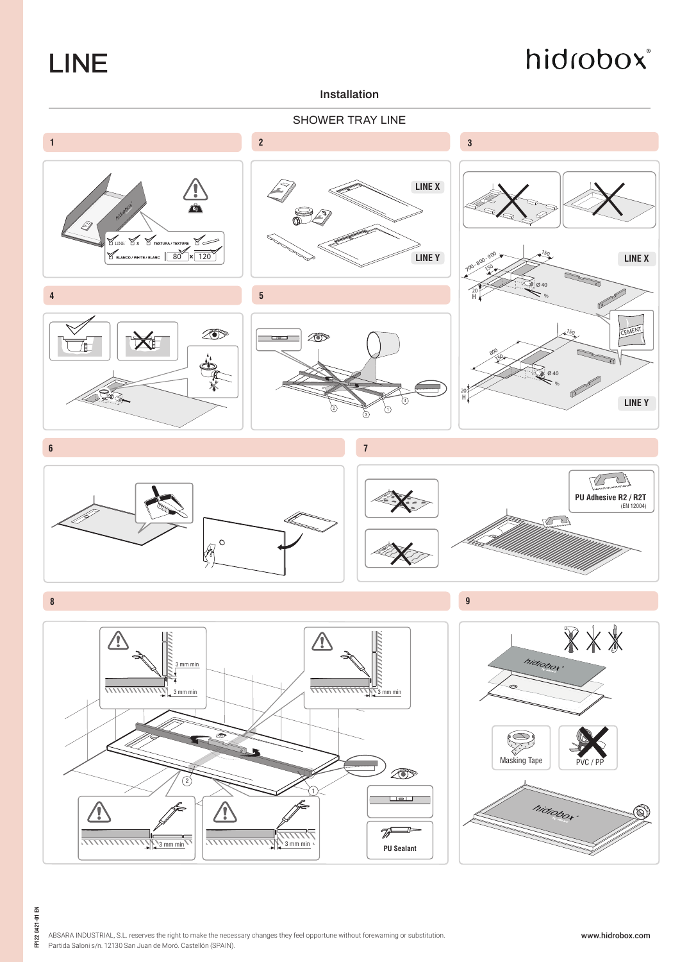LINE

## hidrobox®

### **Installation**



ABSARA INDUSTRIAL, S.L. reserves the right to make the necessary changes they feel opportune without forewarning or substitution. Partida Saloni s/n. 12130 San Juan de Moró. Castellón (SPAIN).

**FPI22 0421-01 EN**

FPI22 0421-01 EN